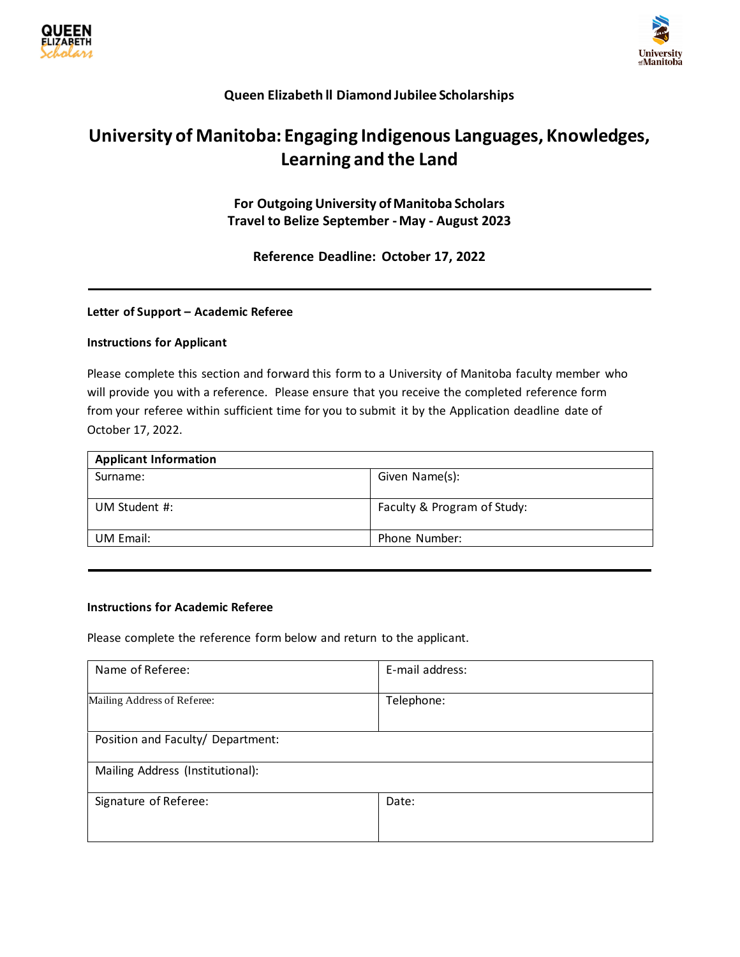



## **Queen Elizabeth ll Diamond Jubilee Scholarships**

# **University of Manitoba: Engaging Indigenous Languages, Knowledges, Learning and the Land**

**For Outgoing University of Manitoba Scholars Travel to Belize September -May - August 2023**

**Reference Deadline: October 17, 2022**

### **Letter of Support – Academic Referee**

#### **Instructions for Applicant**

Please complete this section and forward this form to a University of Manitoba faculty member who will provide you with a reference. Please ensure that you receive the completed reference form from your referee within sufficient time for you to submit it by the Application deadline date of October 17, 2022.

| <b>Applicant Information</b> |                             |
|------------------------------|-----------------------------|
| Surname:                     | Given Name(s):              |
| UM Student #:                | Faculty & Program of Study: |
| UM Email:                    | Phone Number:               |

### **Instructions for Academic Referee**

Please complete the reference form below and return to the applicant.

| Name of Referee:                  | E-mail address: |
|-----------------------------------|-----------------|
| Mailing Address of Referee:       | Telephone:      |
| Position and Faculty/ Department: |                 |
| Mailing Address (Institutional):  |                 |
| Signature of Referee:             | Date:           |
|                                   |                 |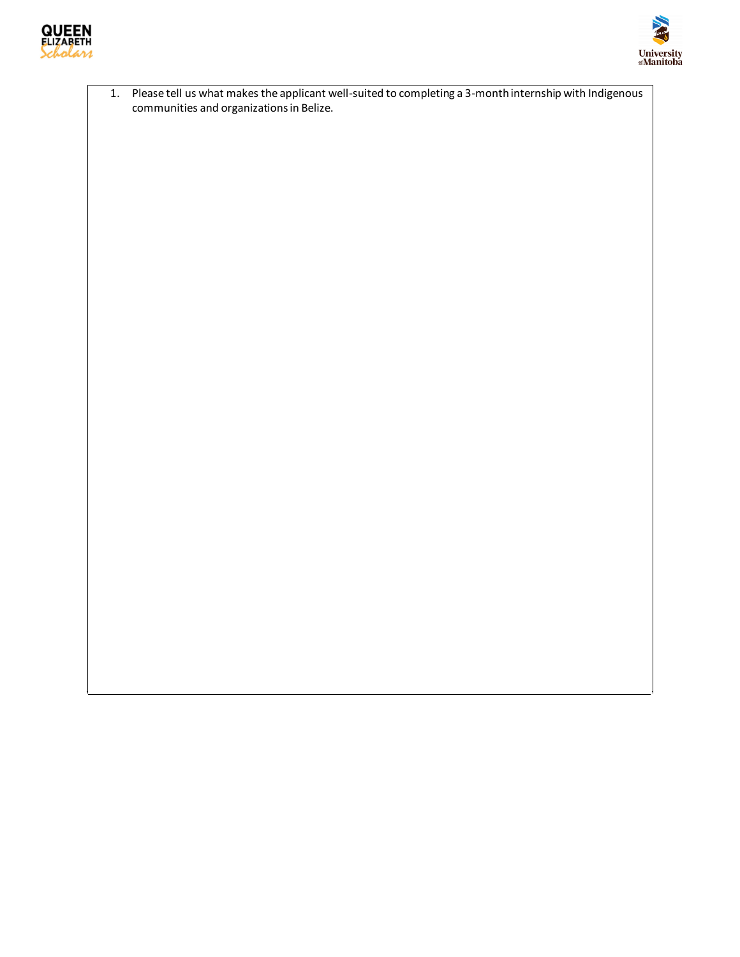



1. Please tell us what makes the applicant well-suited to completing a 3-month internship with Indigenous communities and organizations in Belize.